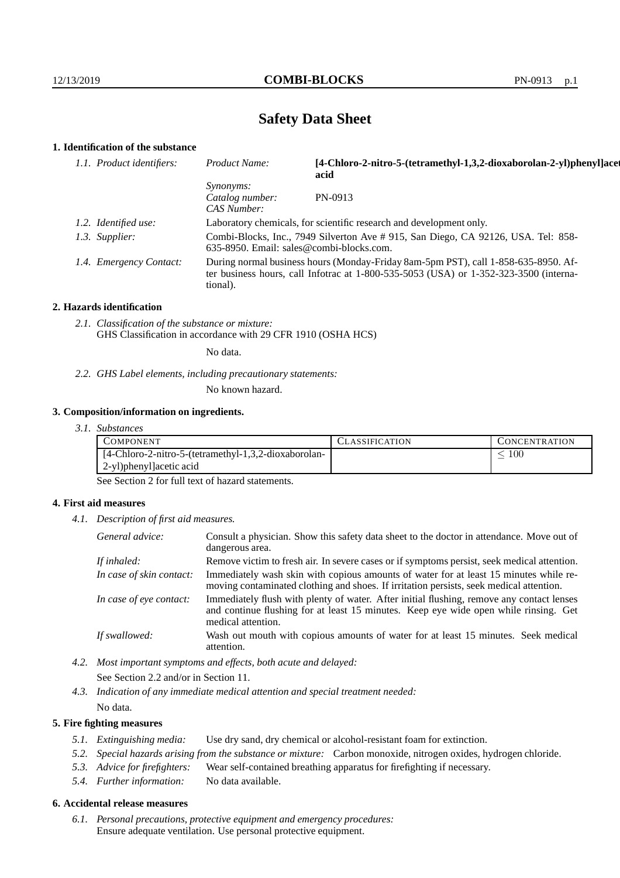## **Safety Data Sheet**

## **1. Identification of the substance**

| 1.1. Product identifiers: | Product Name:                                                                                                                                                                           | [4-Chloro-2-nitro-5-(tetramethyl-1,3,2-dioxaborolan-2-yl)phenyl]acet<br>acid |  |
|---------------------------|-----------------------------------------------------------------------------------------------------------------------------------------------------------------------------------------|------------------------------------------------------------------------------|--|
|                           | <i>Synonyms:</i><br>Catalog number:<br>CAS Number:                                                                                                                                      | PN-0913                                                                      |  |
| 1.2. Identified use:      | Laboratory chemicals, for scientific research and development only.                                                                                                                     |                                                                              |  |
| 1.3. Supplier:            | Combi-Blocks, Inc., 7949 Silverton Ave # 915, San Diego, CA 92126, USA. Tel: 858-<br>635-8950. Email: sales@combi-blocks.com.                                                           |                                                                              |  |
| 1.4. Emergency Contact:   | During normal business hours (Monday-Friday 8am-5pm PST), call 1-858-635-8950. Af-<br>ter business hours, call Infotrac at 1-800-535-5053 (USA) or 1-352-323-3500 (interna-<br>tional). |                                                                              |  |

#### **2. Hazards identification**

*2.1. Classification of the substance or mixture:* GHS Classification in accordance with 29 CFR 1910 (OSHA HCS)

No data.

*2.2. GHS Label elements, including precautionary statements:*

No known hazard.

### **3. Composition/information on ingredients.**

*3.1. Substances*

| COMPONENT                                                     | . LASSIFICATION | <b>CONCENTRATION</b> |
|---------------------------------------------------------------|-----------------|----------------------|
| $[4\text{-Chloro-2-nitro-5-(tetramethyl-1,3,2-dioxaborolan-}$ |                 | 100                  |
| 2-yl)phenyl]acetic acid                                       |                 |                      |

See Section 2 for full text of hazard statements.

### **4. First aid measures**

*4.1. Description of first aid measures.*

| General advice:          | Consult a physician. Show this safety data sheet to the doctor in attendance. Move out of<br>dangerous area.                                                                                            |
|--------------------------|---------------------------------------------------------------------------------------------------------------------------------------------------------------------------------------------------------|
| If inhaled:              | Remove victim to fresh air. In severe cases or if symptoms persist, seek medical attention.                                                                                                             |
| In case of skin contact: | Immediately wash skin with copious amounts of water for at least 15 minutes while re-<br>moving contaminated clothing and shoes. If irritation persists, seek medical attention.                        |
| In case of eye contact:  | Immediately flush with plenty of water. After initial flushing, remove any contact lenses<br>and continue flushing for at least 15 minutes. Keep eye wide open while rinsing. Get<br>medical attention. |
| If swallowed:            | Wash out mouth with copious amounts of water for at least 15 minutes. Seek medical<br>attention.                                                                                                        |

*4.2. Most important symptoms and effects, both acute and delayed:* See Section 2.2 and/or in Section 11.

*4.3. Indication of any immediate medical attention and special treatment needed:* No data.

#### **5. Fire fighting measures**

- *5.1. Extinguishing media:* Use dry sand, dry chemical or alcohol-resistant foam for extinction.
- *5.2. Special hazards arising from the substance or mixture:* Carbon monoxide, nitrogen oxides, hydrogen chloride.
- *5.3. Advice for firefighters:* Wear self-contained breathing apparatus for firefighting if necessary.
- *5.4. Further information:* No data available.

## **6. Accidental release measures**

*6.1. Personal precautions, protective equipment and emergency procedures:* Ensure adequate ventilation. Use personal protective equipment.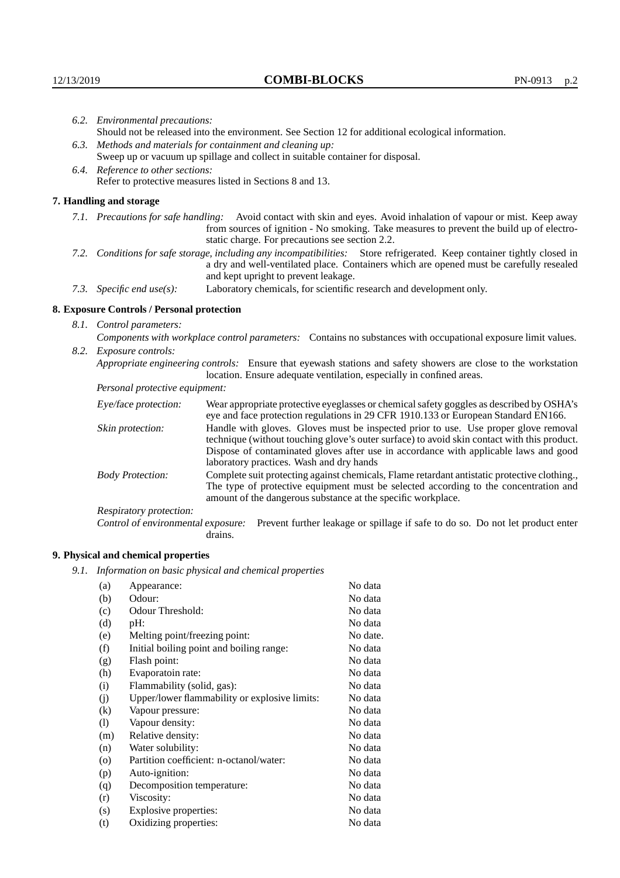|                                   | 6.2. Environmental precautions:                                                                                                                                                                                                                                    |                                                                                                                                                                                                                                                                            |  |  |  |
|-----------------------------------|--------------------------------------------------------------------------------------------------------------------------------------------------------------------------------------------------------------------------------------------------------------------|----------------------------------------------------------------------------------------------------------------------------------------------------------------------------------------------------------------------------------------------------------------------------|--|--|--|
|                                   | Should not be released into the environment. See Section 12 for additional ecological information.                                                                                                                                                                 |                                                                                                                                                                                                                                                                            |  |  |  |
|                                   | 6.3. Methods and materials for containment and cleaning up:                                                                                                                                                                                                        |                                                                                                                                                                                                                                                                            |  |  |  |
|                                   |                                                                                                                                                                                                                                                                    | Sweep up or vacuum up spillage and collect in suitable container for disposal.                                                                                                                                                                                             |  |  |  |
| 6.4. Reference to other sections: |                                                                                                                                                                                                                                                                    |                                                                                                                                                                                                                                                                            |  |  |  |
|                                   | Refer to protective measures listed in Sections 8 and 13.                                                                                                                                                                                                          |                                                                                                                                                                                                                                                                            |  |  |  |
|                                   | 7. Handling and storage                                                                                                                                                                                                                                            |                                                                                                                                                                                                                                                                            |  |  |  |
|                                   | 7.1. Precautions for safe handling: Avoid contact with skin and eyes. Avoid inhalation of vapour or mist. Keep away<br>from sources of ignition - No smoking. Take measures to prevent the build up of electro-<br>static charge. For precautions see section 2.2. |                                                                                                                                                                                                                                                                            |  |  |  |
|                                   | 7.2. Conditions for safe storage, including any incompatibilities: Store refrigerated. Keep container tightly closed in<br>a dry and well-ventilated place. Containers which are opened must be carefully resealed<br>and kept upright to prevent leakage.         |                                                                                                                                                                                                                                                                            |  |  |  |
|                                   | Laboratory chemicals, for scientific research and development only.<br>7.3. Specific end use(s):                                                                                                                                                                   |                                                                                                                                                                                                                                                                            |  |  |  |
|                                   | 8. Exposure Controls / Personal protection                                                                                                                                                                                                                         |                                                                                                                                                                                                                                                                            |  |  |  |
|                                   | 8.1. Control parameters:                                                                                                                                                                                                                                           |                                                                                                                                                                                                                                                                            |  |  |  |
|                                   | Components with workplace control parameters: Contains no substances with occupational exposure limit values.                                                                                                                                                      |                                                                                                                                                                                                                                                                            |  |  |  |
|                                   | 8.2. Exposure controls:                                                                                                                                                                                                                                            |                                                                                                                                                                                                                                                                            |  |  |  |
|                                   | Appropriate engineering controls: Ensure that eyewash stations and safety showers are close to the workstation                                                                                                                                                     |                                                                                                                                                                                                                                                                            |  |  |  |
|                                   |                                                                                                                                                                                                                                                                    | location. Ensure adequate ventilation, especially in confined areas.                                                                                                                                                                                                       |  |  |  |
|                                   | Personal protective equipment:                                                                                                                                                                                                                                     |                                                                                                                                                                                                                                                                            |  |  |  |
|                                   | Eye/face protection:                                                                                                                                                                                                                                               | Wear appropriate protective eyeglasses or chemical safety goggles as described by OSHA's<br>eye and face protection regulations in 29 CFR 1910.133 or European Standard EN166.                                                                                             |  |  |  |
|                                   | Skin protection:                                                                                                                                                                                                                                                   | Handle with gloves. Gloves must be inspected prior to use. Use proper glove removal<br>technique (without touching glove's outer surface) to avoid skin contact with this product.<br>Dispose of conteminated gloves efter use in eccordance with emplicable laws and good |  |  |  |

## **8. Exposure Controls / Personal protection**

| Eye/face protection:                                                                                                                                                                                                                                                            | Wear appropriate protective eyeglasses or chemical safety goggles as described by OSHA's<br>eye and face protection regulations in 29 CFR 1910.133 or European Standard EN166.                                                                                                                                         |  |  |
|---------------------------------------------------------------------------------------------------------------------------------------------------------------------------------------------------------------------------------------------------------------------------------|------------------------------------------------------------------------------------------------------------------------------------------------------------------------------------------------------------------------------------------------------------------------------------------------------------------------|--|--|
| Skin protection:                                                                                                                                                                                                                                                                | Handle with gloves. Gloves must be inspected prior to use. Use proper glove removal<br>technique (without touching glove's outer surface) to avoid skin contact with this product.<br>Dispose of contaminated gloves after use in accordance with applicable laws and good<br>laboratory practices. Wash and dry hands |  |  |
| Complete suit protecting against chemicals, Flame retardant antistatic protective clothing.,<br><b>Body Protection:</b><br>The type of protective equipment must be selected according to the concentration and<br>amount of the dangerous substance at the specific workplace. |                                                                                                                                                                                                                                                                                                                        |  |  |
| Respiratory protection:                                                                                                                                                                                                                                                         |                                                                                                                                                                                                                                                                                                                        |  |  |
| Control of environmental exposure:                                                                                                                                                                                                                                              | Prevent further leakage or spillage if safe to do so. Do not let product enter<br>drains.                                                                                                                                                                                                                              |  |  |

## **9. Physical and chemical properties**

*9.1. Information on basic physical and chemical properties*

| (a)     | Appearance:                                   | No data  |
|---------|-----------------------------------------------|----------|
| (b)     | Odour:                                        | No data  |
| (c)     | Odour Threshold:                              | No data  |
| (d)     | pH:                                           | No data  |
| (e)     | Melting point/freezing point:                 | No date. |
| (f)     | Initial boiling point and boiling range:      | No data  |
| (g)     | Flash point:                                  | No data  |
| (h)     | Evaporatoin rate:                             | No data  |
| (i)     | Flammability (solid, gas):                    | No data  |
| (i)     | Upper/lower flammability or explosive limits: | No data  |
| (k)     | Vapour pressure:                              | No data  |
| (1)     | Vapour density:                               | No data  |
| (m)     | Relative density:                             | No data  |
| (n)     | Water solubility:                             | No data  |
| $\circ$ | Partition coefficient: n-octanol/water:       | No data  |
| (p)     | Auto-ignition:                                | No data  |
| (q)     | Decomposition temperature:                    | No data  |
| (r)     | Viscosity:                                    | No data  |
| (s)     | Explosive properties:                         | No data  |
| (t)     | Oxidizing properties:                         | No data  |
|         |                                               |          |